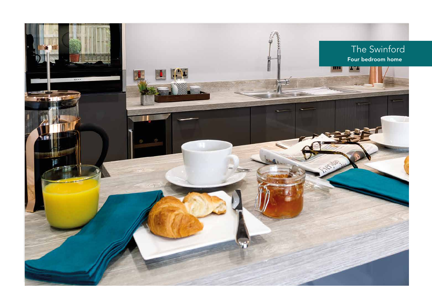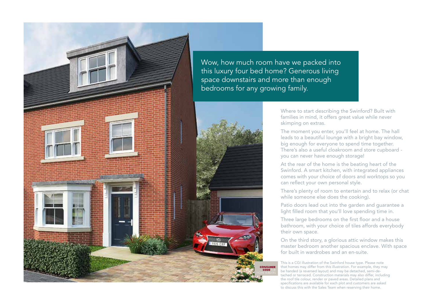

Where to start describing the Swinford? Built with families in mind, it offers great value while never

skimping on extras.

The moment you enter, you'll feel at home. The hall leads to a beautiful lounge with a bright bay window, big enough for everyone to spend time together. There's also a useful cloakroom and store cupboard you can never have enough storage!

At the rear of the home is the beating heart of the Swinford. A smart kitchen, with integrated appliances comes with your choice of doors and worktops so you can reflect your own personal style.

There's plenty of room to entertain and to relax (or chat while someone else does the cooking).

Patio doors lead out into the garden and guarantee a light filled room that you'll love spending time in.

Three large bedrooms on the first floor and a house bathroom, with your choice of tiles affords everybody their own space.

On the third story, a glorious attic window makes this master bedroom another spacious enclave. With space for built in wardrobes and an en-suite.

This is a CGI illustration of the Swinford house type. Please note that homes may differ from this illustration. For example, they may be handed (a reversed layout) and may be detached, semi-detached or terraced. Construction materials may also differ, including the roof tile colour, render or paved areas. Detailed plans and specifications are available for each plot and customers are asked to discuss this with the Sales Team when reserving their home.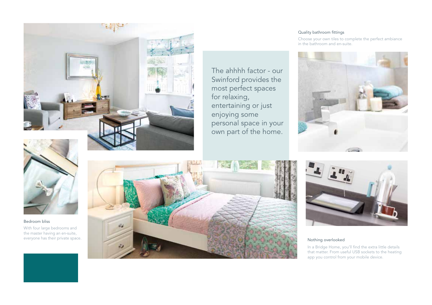

The ahhhh factor - our Swinford provides the most perfect spaces for relaxing, entertaining or just enjoying some personal space in your own part of the home.

## Quality bathroom fittings

Choose your own tiles to complete the perfect ambiance in the bathroom and en-suite.





## Bedroom bliss

With four large bedrooms and the master having an en-suite,





In a Bridge Home, you'll find the extra little details that matter. From useful USB sockets to the heating app you control from your mobile device.